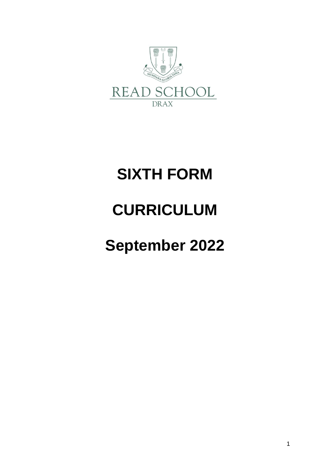

# **SIXTH FORM**

# **CURRICULUM**

# **September 2022**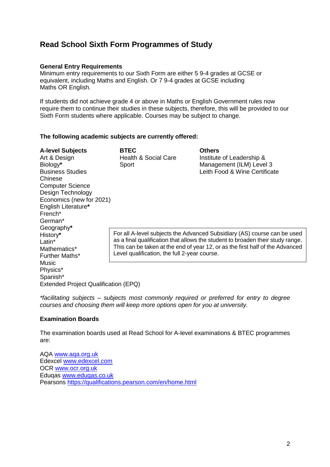## **Read School Sixth Form Programmes of Study**

## **General Entry Requirements**

Minimum entry requirements to our Sixth Form are either 5 9-4 grades at GCSE or equivalent, including Maths and English. Or 7 9-4 grades at GCSE including Maths OR English.

If students did not achieve grade 4 or above in Maths or English Government rules now require them to continue their studies in these subjects, therefore, this will be provided to our Sixth Form students where applicable. Courses may be subject to change.

#### **The following academic subjects are currently offered:**

**A-level Subjects BTEC Others** Art & Design Thealth & Social Care Institute of Leadership & Biology**\*** Sport Management (ILM) Level 3 Business Studies Leith Food & Wine Certificate Chinese Computer Science Design Technology Economics (new for 2021) English Literature**\*** French\* German\* Geography**\*** History**\*** Latin\* Mathematics\* Further Maths\* Music Physics\* Spanish\*

For all A-level subjects the Advanced Subsidiary (AS) course can be used as a final qualification that allows the student to broaden their study range. This can be taken at the end of year 12, or as the first half of the Advanced Level qualification, the full 2-year course.

Extended Project Qualification (EPQ)

*\*facilitating subjects – subjects most commonly required or preferred for entry to degree courses and choosing them will keep more options open for you at university.* 

#### **Examination Boards**

The examination boards used at Read School for A-level examinations & BTEC programmes are:

AQA [www.aqa.org.uk](http://www.aqa.org.uk/) Edexcel [www.edexcel.com](http://www.edexcel.com/) OCR [www.ocr.org.uk](http://www.ocr.org.uk/) Eduqas [www.eduqas.co.uk](http://www.eduqas.co.uk/) Pearsons<https://qualifications.pearson.com/en/home.html>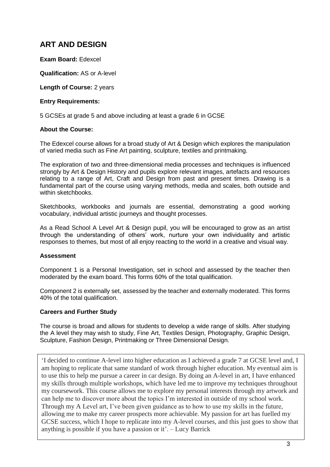# **ART AND DESIGN**

**Exam Board:** Edexcel

**Qualification:** AS or A-level

**Length of Course:** 2 years

#### **Entry Requirements:**

5 GCSEs at grade 5 and above including at least a grade 6 in GCSE

#### **About the Course:**

The Edexcel course allows for a broad study of Art & Design which explores the manipulation of varied media such as Fine Art painting, sculpture, textiles and printmaking.

The exploration of two and three-dimensional media processes and techniques is influenced strongly by Art & Design History and pupils explore relevant images, artefacts and resources relating to a range of Art, Craft and Design from past and present times. Drawing is a fundamental part of the course using varying methods, media and scales, both outside and within sketchbooks.

Sketchbooks, workbooks and journals are essential, demonstrating a good working vocabulary, individual artistic journeys and thought processes.

As a Read School A Level Art & Design pupil, you will be encouraged to grow as an artist through the understanding of others' work, nurture your own individuality and artistic responses to themes, but most of all enjoy reacting to the world in a creative and visual way.

#### **Assessment**

Component 1 is a Personal Investigation, set in school and assessed by the teacher then moderated by the exam board. This forms 60% of the total qualification.

Component 2 is externally set, assessed by the teacher and externally moderated. This forms 40% of the total qualification.

#### **Careers and Further Study**

The course is broad and allows for students to develop a wide range of skills. After studying the A level they may wish to study, Fine Art, Textiles Design, Photography, Graphic Design, Sculpture, Fashion Design, Printmaking or Three Dimensional Design.

'I decided to continue A-level into higher education as I achieved a grade 7 at GCSE level and, I am hoping to replicate that same standard of work through higher education. My eventual aim is to use this to help me pursue a career in car design. By doing an A-level in art, I have enhanced my skills through multiple workshops, which have led me to improve my techniques throughout my coursework. This course allows me to explore my personal interests through my artwork and can help me to discover more about the topics I'm interested in outside of my school work. Through my A Level art, I've been given guidance as to how to use my skills in the future, allowing me to make my career prospects more achievable. My passion for art has fuelled my GCSE success, which I hope to replicate into my A-level courses, and this just goes to show that anything is possible if you have a passion or it'. – Lucy Barrick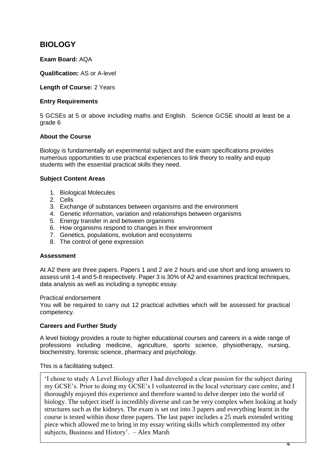## **BIOLOGY**

## **Exam Board:** AQA

**Qualification:** AS or A-level

**Length of Course:** 2 Years

#### **Entry Requirements**

5 GCSEs at 5 or above including maths and English. Science GCSE should at least be a grade 6

## **About the Course**

Biology is fundamentally an experimental subject and the exam specifications provides numerous opportunities to use practical experiences to link theory to reality and equip students with the essential practical skills they need.

#### **Subject Content Areas**

- 1. Biological Molecules
- 2. Cells
- 3. Exchange of substances between organisms and the environment
- 4. Genetic information, variation and relationships between organisms
- 5. Energy transfer in and between organisms
- 6. How organisms respond to changes in their environment
- 7. Genetics, populations, evolution and ecosystems
- 8. The control of gene expression

#### **Assessment**

At A2 there are three papers. Papers 1 and 2 are 2 hours and use short and long answers to assess unit 1-4 and 5-8 respectively. Paper 3 is 30% of A2 and examines practical techniques, data analysis as well as including a synoptic essay.

Practical endorsement

You will be required to carry out 12 practical activities which will be assessed for practical competency.

#### **Careers and Further Study**

A level biology provides a route to higher educational courses and careers in a wide range of professions including medicine, agriculture, sports science, physiotherapy, nursing, biochemistry, forensic science, pharmacy and psychology.

This is a facilitating subject.

'I chose to study A Level Biology after I had developed a clear passion for the subject during my GCSE's. Prior to doing my GCSE's I volunteered in the local veterinary care centre, and I thoroughly enjoyed this experience and therefore wanted to delve deeper into the world of biology. The subject itself is incredibly diverse and can be very complex when looking at body structures such as the kidneys. The exam is set out into 3 papers and everything learnt in the course is tested within those three papers. The last paper includes a 25 mark extended writing piece which allowed me to bring in my essay writing skills which complemented my other subjects, Business and History'. – Alex Marsh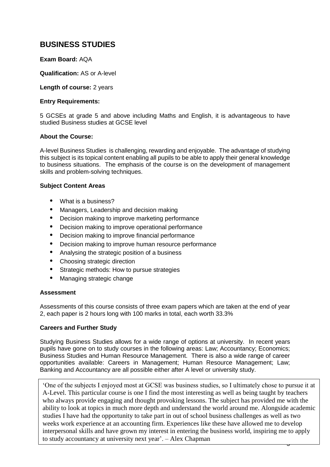## **BUSINESS STUDIES**

### **Exam Board:** AQA

**Qualification:** AS or A-level

**Length of course:** 2 years

#### **Entry Requirements:**

5 GCSEs at grade 5 and above including Maths and English, it is advantageous to have studied Business studies at GCSE level

#### **About the Course:**

A-level Business Studies is challenging, rewarding and enjoyable. The advantage of studying this subject is its topical content enabling all pupils to be able to apply their general knowledge to business situations. The emphasis of the course is on the development of management skills and problem-solving techniques.

#### **Subject Content Areas**

- **•** What is a business?
- **•** Managers, Leadership and decision making
- **•** Decision making to improve marketing performance
- **•** Decision making to improve operational performance
- **•** Decision making to improve financial performance
- **•** Decision making to improve human resource performance
- **•** Analysing the strategic position of a business
- **•** Choosing strategic direction
- **•** Strategic methods: How to pursue strategies
- **•** Managing strategic change

#### **Assessment**

Assessments of this course consists of three exam papers which are taken at the end of year 2, each paper is 2 hours long with 100 marks in total, each worth 33.3%

#### **Careers and Further Study**

Studying Business Studies allows for a wide range of options at university. In recent years pupils have gone on to study courses in the following areas: Law; Accountancy; Economics; Business Studies and Human Resource Management. There is also a wide range of career opportunities available: Careers in Management; Human Resource Management; Law; Banking and Accountancy are all possible either after A level or university study.

5 'One of the subjects I enjoyed most at GCSE was business studies, so I ultimately chose to pursue it at A-Level. This particular course is one I find the most interesting as well as being taught by teachers who always provide engaging and thought provoking lessons. The subject has provided me with the ability to look at topics in much more depth and understand the world around me. Alongside academic studies I have had the opportunity to take part in out of school business challenges as well as two weeks work experience at an accounting firm. Experiences like these have allowed me to develop interpersonal skills and have grown my interest in entering the business world, inspiring me to apply to study accountancy at university next year'. – Alex Chapman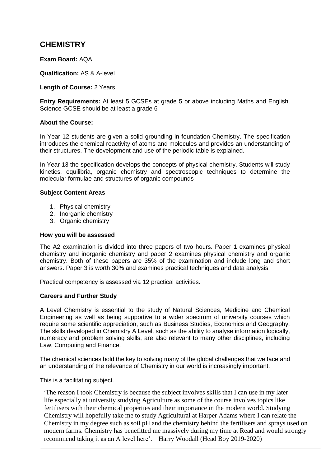## **CHEMISTRY**

### **Exam Board:** AQA

**Qualification:** AS & A-level

**Length of Course:** 2 Years

**Entry Requirements:** At least 5 GCSEs at grade 5 or above including Maths and English. Science GCSE should be at least a grade 6

#### **About the Course:**

In Year 12 students are given a solid grounding in foundation Chemistry. The specification introduces the chemical reactivity of atoms and molecules and provides an understanding of their structures. The development and use of the periodic table is explained.

In Year 13 the specification develops the concepts of physical chemistry. Students will study kinetics, equilibria, organic chemistry and spectroscopic techniques to determine the molecular formulae and structures of organic compounds

#### **Subject Content Areas**

- 1. Physical chemistry
- 2. Inorganic chemistry
- 3. Organic chemistry

#### **How you will be assessed**

The A2 examination is divided into three papers of two hours. Paper 1 examines physical chemistry and inorganic chemistry and paper 2 examines physical chemistry and organic chemistry. Both of these papers are 35% of the examination and include long and short answers. Paper 3 is worth 30% and examines practical techniques and data analysis.

Practical competency is assessed via 12 practical activities.

#### **Careers and Further Study**

A Level Chemistry is essential to the study of Natural Sciences, Medicine and Chemical Engineering as well as being supportive to a wider spectrum of university courses which require some scientific appreciation, such as Business Studies, Economics and Geography. The skills developed in Chemistry A Level, such as the ability to analyse information logically, numeracy and problem solving skills, are also relevant to many other disciplines, including Law, Computing and Finance.

The chemical sciences hold the key to solving many of the global challenges that we face and an understanding of the relevance of Chemistry in our world is increasingly important.

This is a facilitating subject.

'The reason I took Chemistry is because the subject involves skills that I can use in my later life especially at university studying Agriculture as some of the course involves topics like fertilisers with their chemical properties and their importance in the modern world. Studying Chemistry will hopefully take me to study Agricultural at Harper Adams where I can relate the Chemistry in my degree such as soil pH and the chemistry behind the fertilisers and sprays used on modern farms. Chemistry has benefitted me massively during my time at Read and would strongly recommend taking it as an A level here'. – Harry Woodall (Head Boy 2019-2020)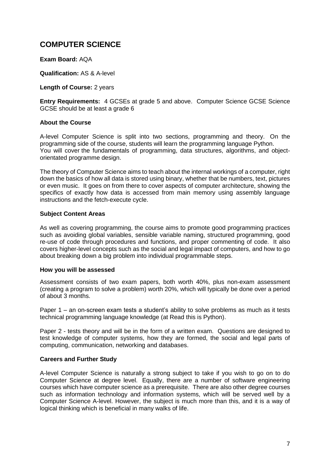# **COMPUTER SCIENCE**

#### **Exam Board:** AQA

**Qualification:** AS & A-level

**Length of Course:** 2 years

**Entry Requirements:** 4 GCSEs at grade 5 and above. Computer Science GCSE Science GCSE should be at least a grade 6

#### **About the Course**

A-level Computer Science is split into two sections, programming and theory. On the programming side of the course, students will learn the programming language Python. You will cover the fundamentals of programming, data structures, algorithms, and objectorientated programme design.

The theory of Computer Science aims to teach about the internal workings of a computer, right down the basics of how all data is stored using binary, whether that be numbers, text, pictures or even music. It goes on from there to cover aspects of computer architecture, showing the specifics of exactly how data is accessed from main memory using assembly language instructions and the fetch-execute cycle.

#### **Subject Content Areas**

As well as covering programming, the course aims to promote good programming practices such as avoiding global variables, sensible variable naming, structured programming, good re-use of code through procedures and functions, and proper commenting of code. It also covers higher-level concepts such as the social and legal impact of computers, and how to go about breaking down a big problem into individual programmable steps.

#### **How you will be assessed**

Assessment consists of two exam papers, both worth 40%, plus non-exam assessment (creating a program to solve a problem) worth 20%, which will typically be done over a period of about 3 months.

Paper 1 – an on-screen exam tests a student's ability to solve problems as much as it tests technical programming language knowledge (at Read this is Python).

Paper 2 - tests theory and will be in the form of a written exam. Questions are designed to test knowledge of computer systems, how they are formed, the social and legal parts of computing, communication, networking and databases.

#### **Careers and Further Study**

A-level Computer Science is naturally a strong subject to take if you wish to go on to do Computer Science at degree level. Equally, there are a number of software engineering courses which have computer science as a prerequisite. There are also other degree courses such as information technology and information systems, which will be served well by a Computer Science A-level. However, the subject is much more than this, and it is a way of logical thinking which is beneficial in many walks of life.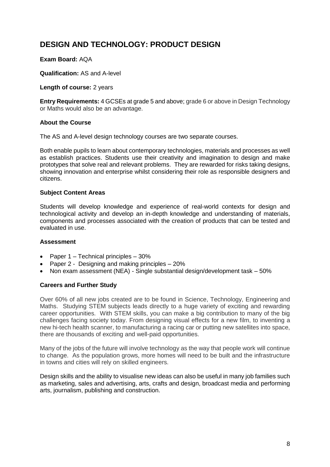# **DESIGN AND TECHNOLOGY: PRODUCT DESIGN**

### **Exam Board:** AQA

**Qualification:** AS and A-level

**Length of course:** 2 years

**Entry Requirements:** 4 GCSEs at grade 5 and above; grade 6 or above in Design Technology or Maths would also be an advantage.

#### **About the Course**

The AS and A-level design technology courses are two separate courses.

Both enable pupils to learn about contemporary technologies, materials and processes as well as establish practices. Students use their creativity and imagination to design and make prototypes that solve real and relevant problems. They are rewarded for risks taking designs, showing innovation and enterprise whilst considering their role as responsible designers and citizens.

#### **Subject Content Areas**

Students will develop knowledge and experience of real-world contexts for design and technological activity and develop an in-depth knowledge and understanding of materials, components and processes associated with the creation of products that can be tested and evaluated in use.

#### **Assessment**

- Paper  $1 -$  Technical principles  $-30\%$
- Paper 2 Designing and making principles 20%
- Non exam assessment (NEA) Single substantial design/development task 50%

#### **Careers and Further Study**

Over 60% of all new jobs created are to be found in Science, Technology, Engineering and Maths. Studying STEM subjects leads directly to a huge variety of exciting and rewarding career opportunities. With STEM skills, you can make a big contribution to many of the big challenges facing society today. From designing visual effects for a new film, to inventing a new hi-tech health scanner, to manufacturing a racing car or putting new satellites into space, there are thousands of exciting and well-paid opportunities.

Many of the jobs of the future will involve technology as the way that people work will continue to change. As the population grows, more homes will need to be built and the infrastructure in towns and cities will rely on skilled engineers.

Design skills and the ability to visualise new ideas can also be useful in many job families such as marketing, sales and advertising, arts, crafts and design, broadcast media and performing arts, journalism, publishing and construction.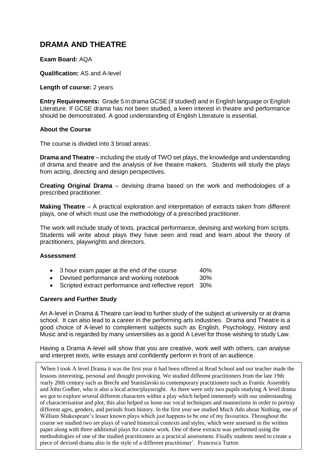## **DRAMA AND THEATRE**

#### **Exam Board:** AQA

**Qualification:** AS and A-level

**Length of course:** 2 years

**Entry Requirements:** Grade 5 in drama GCSE (if studied) and in English language or English Literature. If GCSE drama has not been studied, a keen interest in theatre and performance should be demonstrated. A good understanding of English Literature is essential.

#### **About the Course**

The course is divided into 3 broad areas:

**Drama and Theatre** – including the study of TWO set plays, the knowledge and understanding of drama and theatre and the analysis of live theatre makers. Students will study the plays from acting, directing and design perspectives.

**Creating Original Drama** – devising drama based on the work and methodologies of a prescribed practitioner.

**Making Theatre** – A practical exploration and interpretation of extracts taken from different plays, one of which must use the methodology of a prescribed practitioner.

The work will include study of texts, practical performance, devising and working from scripts. Students will write about plays they have seen and read and learn about the theory of practitioners, playwrights and directors.

#### **Assessment**

- 3 hour exam paper at the end of the course 40%
- Devised performance and working notebook 30%
- Scripted extract performance and reflective report 30%

#### **Careers and Further Study**

An A-level in Drama & Theatre can lead to further study of the subject at university or at drama school. It can also lead to a career in the performing arts industries. Drama and Theatre is a good choice of A-level to complement subjects such as English, Psychology, History and Music and is regarded by many universities as a good A Level for those wishing to study Law.

Having a Drama A-level will show that you are creative, work well with others, can analyse and interpret texts, write essays and confidently perform in front of an audience.

*'*When I took A level Drama it was the first year it had been offered at Read School and our teacher made the lessons interesting, personal and thought provoking. We studied different practitioners from the late 19th /early 20th century such as Brecht and Stanislavski to contemporary practitioners such as Frantic Assembly and John Godber, who is also a local actor/playwright. As there were only two pupils studying A level drama we got to explore several different characters within a play which helped immensely with our understanding of characterisation and plot, this also helped us hone our vocal techniques and mannerisms in order to portray different ages, genders, and periods from history. In the first year we studied Much Ado about Nothing, one of William Shakespeare's lesser known plays which just happens to be one of my favourites. Throughout the course we studied two set plays of varied historical contexts and styles, which were assessed in the written paper along with three additional plays for course work. One of these extracts was performed using the methodologies of one of the studied practitioners as a practical assessment. Finally students need to create a piece of devised drama also in the style of a different practitioner'*.* Francesca Turton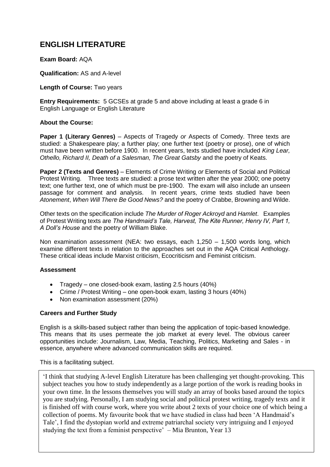# **ENGLISH LITERATURE**

### **Exam Board:** AQA

**Qualification:** AS and A-level

**Length of Course:** Two years

**Entry Requirements:** 5 GCSEs at grade 5 and above including at least a grade 6 in English Language or English Literature

#### **About the Course:**

**Paper 1 (Literary Genres)** – Aspects of Tragedy *or* Aspects of Comedy. Three texts are studied: a Shakespeare play; a further play; one further text (poetry or prose), one of which must have been written before 1900. In recent years, texts studied have included *King Lear, Othello, Richard II, Death of a Salesman, The Great Gatsby* and the poetry of Keats.

**Paper 2 (Texts and Genres)** – Elements of Crime Writing *or* Elements of Social and Political Protest Writing. Three texts are studied: a prose text written after the year 2000; one poetry text; one further text, one of which must be pre-1900. The exam will also include an unseen passage for comment and analysis. In recent years, crime texts studied have been *Atonement*, *When Will There Be Good News?* and the poetry of Crabbe, Browning and Wilde.

Other texts on the specification include *The Murder of Roger Ackroyd* and *Hamlet*. Examples of Protest Writing texts are *The Handmaid's Tale, Harvest, The Kite Runner, Henry IV, Part 1, A Doll's House* and the poetry of William Blake.

Non examination assessment (NEA: two essays, each 1,250 – 1,500 words long, which examine different texts in relation to the approaches set out in the AQA Critical Anthology. These critical ideas include Marxist criticism, Ecocriticism and Feminist criticism.

#### **Assessment**

- Tragedy one closed-book exam, lasting 2.5 hours (40%)
- Crime / Protest Writing one open-book exam, lasting 3 hours (40%)
- Non examination assessment (20%)

#### **Careers and Further Study**

English is a skills-based subject rather than being the application of topic-based knowledge. This means that its uses permeate the job market at every level. The obvious career opportunities include: Journalism, Law, Media, Teaching, Politics, Marketing and Sales - in essence, anywhere where advanced communication skills are required.

This is a facilitating subject.

'I think that studying A-level English Literature has been challenging yet thought-provoking. This subject teaches you how to study independently as a large portion of the work is reading books in your own time. In the lessons themselves you will study an array of books based around the topics you are studying. Personally, I am studying social and political protest writing, tragedy texts and it is finished off with course work, where you write about 2 texts of your choice one of which being a collection of poems. My favourite book that we have studied in class had been 'A Handmaid's Tale', I find the dystopian world and extreme patriarchal society very intriguing and I enjoyed studying the text from a feminist perspective' – Mia Brunton, Year 13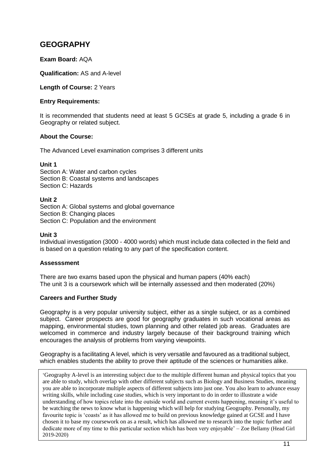# **GEOGRAPHY**

## **Exam Board:** AQA

**Qualification:** AS and A-level

**Length of Course:** 2 Years

#### **Entry Requirements:**

It is recommended that students need at least 5 GCSEs at grade 5, including a grade 6 in Geography or related subject.

#### **About the Course:**

The Advanced Level examination comprises 3 different units

#### **Unit 1**

Section A: Water and carbon cycles Section B: Coastal systems and landscapes Section C: Hazards

#### **Unit 2**

Section A: Global systems and global governance Section B: Changing places Section C: Population and the environment

#### **Unit 3**

Individual investigation (3000 - 4000 words) which must include data collected in the field and is based on a question relating to any part of the specification content.

#### **Assesssment**

There are two exams based upon the physical and human papers (40% each) The unit 3 is a coursework which will be internally assessed and then moderated (20%)

#### **Careers and Further Study**

Geography is a very popular university subject, either as a single subject, or as a combined subject. Career prospects are good for geography graduates in such vocational areas as mapping, environmental studies, town planning and other related job areas. Graduates are welcomed in commerce and industry largely because of their background training which encourages the analysis of problems from varying viewpoints.

Geography is a facilitating A level, which is very versatile and favoured as a traditional subject, which enables students the ability to prove their aptitude of the sciences or humanities alike.

'Geography A-level is an interesting subject due to the multiple different human and physical topics that you are able to study, which overlap with other different subjects such as Biology and Business Studies, meaning you are able to incorporate multiple aspects of different subjects into just one. You also learn to advance essay writing skills, while including case studies, which is very important to do in order to illustrate a wide understanding of how topics relate into the outside world and current events happening, meaning it's useful to be watching the news to know what is happening which will help for studying Geography. Personally, my favourite topic is 'coasts' as it has allowed me to build on previous knowledge gained at GCSE and I have chosen it to base my coursework on as a result, which has allowed me to research into the topic further and dedicate more of my time to this particular section which has been very enjoyable' – Zoe Bellamy (Head Girl 2019-2020)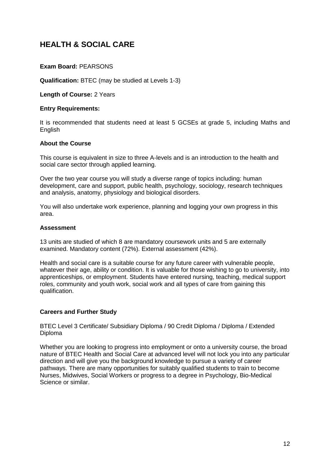# **HEALTH & SOCIAL CARE**

## **Exam Board:** PEARSONS

**Qualification:** BTEC (may be studied at Levels 1-3)

**Length of Course:** 2 Years

#### **Entry Requirements:**

It is recommended that students need at least 5 GCSEs at grade 5, including Maths and English

#### **About the Course**

This course is equivalent in size to three A-levels and is an introduction to the health and social care sector through applied learning.

Over the two year course you will study a diverse range of topics including: human development, care and support, public health, psychology, sociology, research techniques and analysis, anatomy, physiology and biological disorders.

You will also undertake work experience, planning and logging your own progress in this area.

#### **Assessment**

13 units are studied of which 8 are mandatory coursework units and 5 are externally examined. Mandatory content (72%). External assessment (42%).

Health and social care is a suitable course for any future career with vulnerable people, whatever their age, ability or condition. It is valuable for those wishing to go to university, into apprenticeships, or employment. Students have entered nursing, teaching, medical support roles, community and youth work, social work and all types of care from gaining this qualification.

#### **Careers and Further Study**

BTEC Level 3 Certificate/ Subsidiary Diploma / 90 Credit Diploma / Diploma / Extended Diploma

Whether you are looking to progress into employment or onto a university course, the broad nature of BTEC Health and Social Care at advanced level will not lock you into any particular direction and will give you the background knowledge to pursue a variety of career pathways. There are many opportunities for suitably qualified students to train to become Nurses, Midwives, Social Workers or progress to a degree in Psychology, Bio-Medical Science or similar.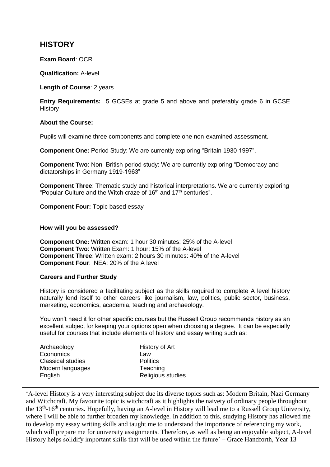## **HISTORY**

#### **Exam Board**: OCR

**Qualification:** A-level

**Length of Course**: 2 years

**Entry Requirements:** 5 GCSEs at grade 5 and above and preferably grade 6 in GCSE **History** 

#### **About the Course:**

Pupils will examine three components and complete one non-examined assessment.

**Component One:** Period Study: We are currently exploring "Britain 1930-1997".

**Component Two**: Non- British period study: We are currently exploring "Democracy and dictatorships in Germany 1919-1963"

**Component Three**: Thematic study and historical interpretations. We are currently exploring "Popular Culture and the Witch craze of 16<sup>th</sup> and 17<sup>th</sup> centuries".

**Component Four:** Topic based essay

#### **How will you be assessed?**

**Component One:** Written exam: 1 hour 30 minutes: 25% of the A-level **Component Two**: Written Exam: 1 hour: 15% of the A-level **Component Three**: Written exam: 2 hours 30 minutes: 40% of the A-level **Component Four**: NEA: 20% of the A level

#### **Careers and Further Study**

History is considered a facilitating subject as the skills required to complete A level history naturally lend itself to other careers like journalism, law, politics, public sector, business, marketing, economics, academia, teaching and archaeology.

You won't need it for other specific courses but the Russell Group recommends history as an excellent subject for keeping your options open when choosing a degree. It can be especially useful for courses that include elements of history and essay writing such as:

| Archaeology              | History of Art    |
|--------------------------|-------------------|
| Economics                | Law               |
| <b>Classical studies</b> | <b>Politics</b>   |
| Modern languages         | Teaching          |
| English                  | Religious studies |
|                          |                   |

13 History helps solidify important skills that will be used within the future' – Grace Handforth, Year 13 'A-level History is a very interesting subject due its diverse topics such as: Modern Britain, Nazi Germany and Witchcraft. My favourite topic is witchcraft as it highlights the naivety of ordinary people throughout the 13<sup>th</sup>-16<sup>th</sup> centuries. Hopefully, having an A-level in History will lead me to a Russell Group University, where I will be able to further broaden my knowledge. In addition to this, studying History has allowed me to develop my essay writing skills and taught me to understand the importance of referencing my work, which will prepare me for university assignments. Therefore, as well as being an enjoyable subject, A-level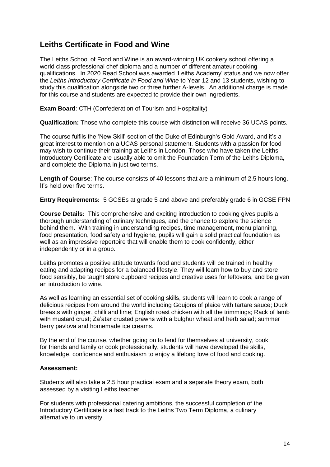# **Leiths Certificate in Food and Wine**

The Leiths School of Food and Wine is an award-winning UK cookery school offering a world class professional chef diploma and a number of different amateur cooking qualifications. In 2020 Read School was awarded 'Leiths Academy' status and we now offer the *Leiths Introductory Certificate in Food and Wine* to Year 12 and 13 students, wishing to study this qualification alongside two or three further A-levels. An additional charge is made for this course and students are expected to provide their own ingredients.

**Exam Board**: CTH (Confederation of Tourism and Hospitality)

**Qualification:** Those who complete this course with distinction will receive 36 UCAS points.

The course fulfils the 'New Skill' section of the Duke of Edinburgh's Gold Award, and it's a great interest to mention on a UCAS personal statement. Students with a passion for food may wish to continue their training at Leiths in London. Those who have taken the Leiths Introductory Certificate are usually able to omit the Foundation Term of the Leiths Diploma, and complete the Diploma in just two terms.

**Length of Course**: The course consists of 40 lessons that are a minimum of 2.5 hours long. It's held over five terms.

**Entry Requirements:** 5 GCSEs at grade 5 and above and preferably grade 6 in GCSE FPN

**Course Details:** This comprehensive and exciting introduction to cooking gives pupils a thorough understanding of culinary techniques, and the chance to explore the science behind them. With training in understanding recipes, time management, menu planning, food presentation, food safety and hygiene, pupils will gain a solid practical foundation as well as an impressive repertoire that will enable them to cook confidently, either independently or in a group.

Leiths promotes a positive attitude towards food and students will be trained in healthy eating and adapting recipes for a balanced lifestyle. They will learn how to buy and store food sensibly, be taught store cupboard recipes and creative uses for leftovers, and be given an introduction to wine.

As well as learning an essential set of cooking skills, students will learn to cook a range of delicious recipes from around the world including Goujons of plaice with tartare sauce; Duck breasts with ginger, chilli and lime; English roast chicken with all the trimmings; Rack of lamb with mustard crust; Za'atar crusted prawns with a bulghur wheat and herb salad; summer berry pavlova and homemade ice creams.

By the end of the course, whether going on to fend for themselves at university, cook for friends and family or cook professionally, students will have developed the skills, knowledge, confidence and enthusiasm to enjoy a lifelong love of food and cooking.

#### **Assessment:**

Students will also take a 2.5 hour practical exam and a separate theory exam, both assessed by a visiting Leiths teacher.

For students with professional catering ambitions, the successful completion of the Introductory Certificate is a fast track to the Leiths Two Term Diploma, a culinary alternative to university.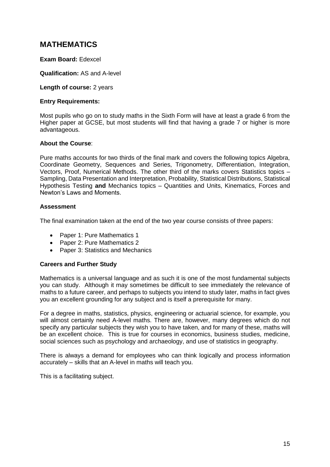## **MATHEMATICS**

#### **Exam Board:** Edexcel

**Qualification:** AS and A-level

**Length of course:** 2 years

#### **Entry Requirements:**

Most pupils who go on to study maths in the Sixth Form will have at least a grade 6 from the Higher paper at GCSE, but most students will find that having a grade 7 or higher is more advantageous.

#### **About the Course**:

Pure maths accounts for two thirds of the final mark and covers the following topics Algebra, Coordinate Geometry, Sequences and Series, Trigonometry, Differentiation, Integration, Vectors, Proof, Numerical Methods. The other third of the marks covers Statistics topics – Sampling, Data Presentation and Interpretation, Probability, Statistical Distributions, Statistical Hypothesis Testing **and** Mechanics topics – Quantities and Units, Kinematics, Forces and Newton's Laws and Moments.

#### **Assessment**

The final examination taken at the end of the two year course consists of three papers:

- Paper 1: Pure Mathematics 1
- Paper 2: Pure Mathematics 2
- Paper 3: Statistics and Mechanics

#### **Careers and Further Study**

Mathematics is a universal language and as such it is one of the most fundamental subjects you can study. Although it may sometimes be difficult to see immediately the relevance of maths to a future career, and perhaps to subjects you intend to study later, maths in fact gives you an excellent grounding for any subject and is itself a prerequisite for many.

For a degree in maths, statistics, physics, engineering or actuarial science, for example, you will almost certainly need A-level maths. There are, however, many degrees which do not specify any particular subjects they wish you to have taken, and for many of these, maths will be an excellent choice. This is true for courses in economics, business studies, medicine, social sciences such as psychology and archaeology, and use of statistics in geography.

There is always a demand for employees who can think logically and process information accurately – skills that an A-level in maths will teach you.

This is a facilitating subject.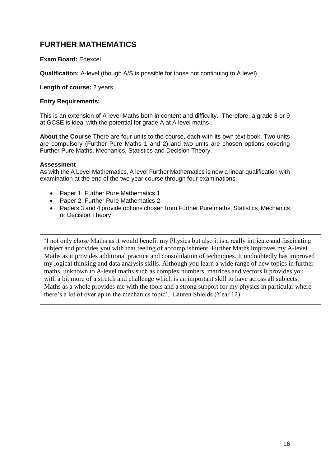# **FURTHER MATHEMATICS**

### **Exam Board:** Edexcel

**Qualification:** A-level (though A/S is possible for those not continuing to A level)

**Length of course:** 2 years

#### **Entry Requirements:**

This is an extension of A level Maths both in content and difficulty. Therefore, a grade 8 or 9 at GCSE is ideal with the potential for grade A at A level maths.

**About the Course** There are four units to the course, each with its own text book. Two units are compulsory (Further Pure Maths 1 and 2) and two units are chosen options covering Further Pure Maths, Mechanics, Statistics and Decision Theory.

#### **Assessment**

As with the A Level Mathematics, A level Further Mathematics is now a linear qualification with examination at the end of the two year course through four examinations;

- Paper 1: Further Pure Mathematics 1
- Paper 2: Further Pure Mathematics 2
- Papers 3 and 4 provide options chosen from Further Pure maths, Statistics, Mechanics or Decision Theory

'I not only chose Maths as it would benefit my Physics but also it is a really intricate and fascinating subject and provides you with that feeling of accomplishment. Further Maths improves my A-level Maths as it provides additional practice and consolidation of techniques. It undoubtedly has improved my logical thinking and data analysis skills. Although you learn a wide range of new topics in further maths, unknown to A-level maths such as complex numbers, matrices and vectors it provides you with a bit more of a stretch and challenge which is an important skill to have across all subjects. Maths as a whole provides me with the tools and a strong support for my physics in particular where there's a lot of overlap in the mechanics topic'. Lauren Shields (Year 12)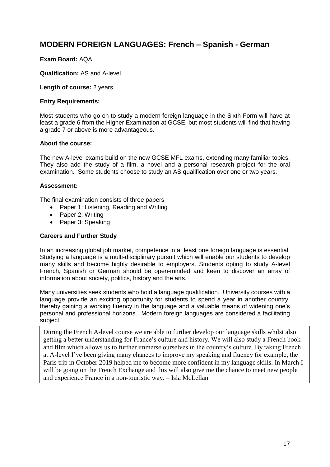## **MODERN FOREIGN LANGUAGES: French – Spanish - German**

#### **Exam Board:** AQA

**Qualification:** AS and A-level

**Length of course:** 2 years

#### **Entry Requirements:**

Most students who go on to study a modern foreign language in the Sixth Form will have at least a grade 6 from the Higher Examination at GCSE, but most students will find that having a grade 7 or above is more advantageous.

#### **About the course:**

The new A-level exams build on the new GCSE MFL exams, extending many familiar topics. They also add the study of a film, a novel and a personal research project for the oral examination. Some students choose to study an AS qualification over one or two years.

#### **Assessment:**

The final examination consists of three papers

- Paper 1: Listening, Reading and Writing
- Paper 2: Writing
- Paper 3: Speaking

#### **Careers and Further Study**

In an increasing global job market, competence in at least one foreign language is essential. Studying a language is a multi-disciplinary pursuit which will enable our students to develop many skills and become highly desirable to employers. Students opting to study A-level French, Spanish or German should be open-minded and keen to discover an array of information about society, politics, history and the arts.

Many universities seek students who hold a language qualification. University courses with a language provide an exciting opportunity for students to spend a year in another country, thereby gaining a working fluency in the language and a valuable means of widening one's personal and professional horizons. Modern foreign languages are considered a facilitating subject.

During the French A-level course we are able to further develop our language skills whilst also getting a better understanding for France's culture and history. We will also study a French book and film which allows us to further immerse ourselves in the country's culture. By taking French at A-level I've been giving many chances to improve my speaking and fluency for example, the Paris trip in October 2019 helped me to become more confident in my language skills. In March I will be going on the French Exchange and this will also give me the chance to meet new people and experience France in a non-touristic way. – Isla McLellan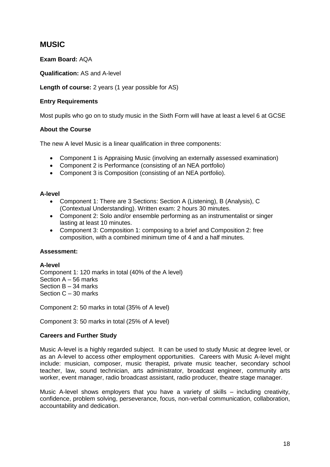## **MUSIC**

**Exam Board:** AQA

**Qualification:** AS and A-level

**Length of course:** 2 years (1 year possible for AS)

### **Entry Requirements**

Most pupils who go on to study music in the Sixth Form will have at least a level 6 at GCSE

## **About the Course**

The new A level Music is a linear qualification in three components:

- Component 1 is Appraising Music (involving an externally assessed examination)
- Component 2 is Performance (consisting of an NEA portfolio)
- Component 3 is Composition (consisting of an NEA portfolio).

#### **A-level**

- Component 1: There are 3 Sections: Section A (Listening), B (Analysis), C (Contextual Understanding). Written exam: 2 hours 30 minutes.
- Component 2: Solo and/or ensemble performing as an instrumentalist or singer lasting at least 10 minutes.
- Component 3: Composition 1: composing to a brief and Composition 2: free composition, with a combined minimum time of 4 and a half minutes.

#### **Assessment:**

#### **A-level**

Component 1: 120 marks in total (40% of the A level) Section A – 56 marks Section B – 34 marks Section C – 30 marks

Component 2: 50 marks in total (35% of A level)

Component 3: 50 marks in total (25% of A level)

#### **Careers and Further Study**

Music A-level is a highly regarded subject. It can be used to study Music at degree level, or as an A-level to access other employment opportunities. Careers with Music A-level might include: musician, composer, music therapist, private music teacher, secondary school teacher, law, sound technician, arts administrator, broadcast engineer, community arts worker, event manager, radio broadcast assistant, radio producer, theatre stage manager.

Music A-level shows employers that you have a variety of skills – including creativity, confidence, problem solving, perseverance, focus, non-verbal communication, collaboration, accountability and dedication.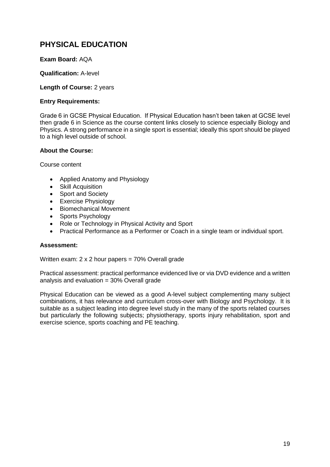# **PHYSICAL EDUCATION**

### **Exam Board:** AQA

#### **Qualification:** A-level

#### **Length of Course:** 2 years

#### **Entry Requirements:**

Grade 6 in GCSE Physical Education. If Physical Education hasn't been taken at GCSE level then grade 6 in Science as the course content links closely to science especially Biology and Physics. A strong performance in a single sport is essential; ideally this sport should be played to a high level outside of school.

#### **About the Course:**

Course content

- Applied Anatomy and Physiology
- Skill Acquisition
- Sport and Society
- Exercise Physiology
- Biomechanical Movement
- Sports Psychology
- Role or Technology in Physical Activity and Sport
- Practical Performance as a Performer or Coach in a single team or individual sport.

#### **Assessment:**

Written exam:  $2 \times 2$  hour papers =  $70\%$  Overall grade

Practical assessment: practical performance evidenced live or via DVD evidence and a written analysis and evaluation = 30% Overall grade

Physical Education can be viewed as a good A-level subject complementing many subject combinations, it has relevance and curriculum cross-over with Biology and Psychology. It is suitable as a subject leading into degree level study in the many of the sports related courses but particularly the following subjects; physiotherapy, sports injury rehabilitation, sport and exercise science, sports coaching and PE teaching.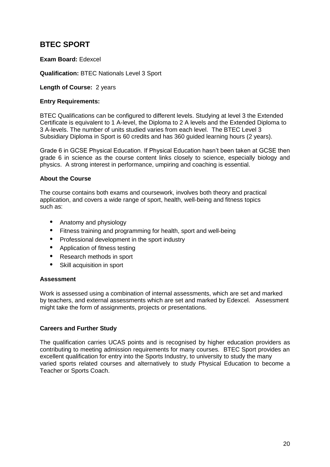# **BTEC SPORT**

### **Exam Board:** Edexcel

**Qualification:** BTEC Nationals Level 3 Sport

**Length of Course:** 2 years

### **Entry Requirements:**

BTEC Qualifications can be configured to different levels. Studying at level 3 the Extended Certificate is equivalent to 1 A-level, the Diploma to 2 A levels and the Extended Diploma to 3 A-levels. The number of units studied varies from each level. The BTEC Level 3 Subsidiary Diploma in Sport is 60 credits and has 360 guided learning hours (2 years).

Grade 6 in GCSE Physical Education. If Physical Education hasn't been taken at GCSE then grade 6 in science as the course content links closely to science, especially biology and physics. A strong interest in performance, umpiring and coaching is essential.

## **About the Course**

The course contains both exams and coursework, involves both theory and practical application, and covers a wide range of sport, health, well-being and fitness topics such as:

- **•** Anatomy and physiology
- **•** Fitness training and programming for health, sport and well-being
- **•** Professional development in the sport industry
- **•** Application of fitness testing
- **•** Research methods in sport
- **•** Skill acquisition in sport

#### **Assessment**

Work is assessed using a combination of internal assessments, which are set and marked by teachers, and external assessments which are set and marked by Edexcel. Assessment might take the form of assignments, projects or presentations.

#### **Careers and Further Study**

The qualification carries UCAS points and is recognised by higher education providers as contributing to meeting admission requirements for many courses. BTEC Sport provides an excellent qualification for entry into the Sports Industry, to university to study the many varied sports related courses and alternatively to study Physical Education to become a Teacher or Sports Coach.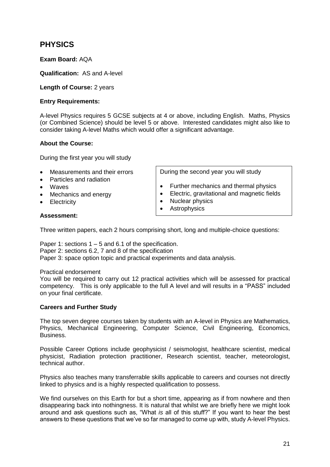# **PHYSICS**

## **Exam Board:** AQA

**Qualification:** AS and A-level

#### **Length of Course:** 2 years

#### **Entry Requirements:**

A-level Physics requires 5 GCSE subjects at 4 or above, including English. Maths, Physics (or Combined Science) should be level 5 or above. Interested candidates might also like to consider taking A-level Maths which would offer a significant advantage.

#### **About the Course:**

During the first year you will study

- Measurements and their errors
- Particles and radiation
- Waves
- Mechanics and energy
- Electricity

**Assessment:**

During the second year you will study

- Further mechanics and thermal physics
- Electric, gravitational and magnetic fields
- Nuclear physics
- Astrophysics
- 

Three written papers, each 2 hours comprising short, long and multiple-choice questions:

Paper 1: sections  $1 - 5$  and 6.1 of the specification. Paper 2: sections 6.2, 7 and 8 of the specification Paper 3: space option topic and practical experiments and data analysis.

Practical endorsement

You will be required to carry out 12 practical activities which will be assessed for practical competency. This is only applicable to the full A level and will results in a "PASS" included on your final certificate.

#### **Careers and Further Study**

The top seven degree courses taken by students with an A-level in Physics are Mathematics, Physics, Mechanical Engineering, Computer Science, Civil Engineering, Economics, Business.

Possible Career Options include geophysicist / seismologist, healthcare scientist, medical physicist, Radiation protection practitioner, Research scientist, teacher, meteorologist, technical author.

Physics also teaches many transferrable skills applicable to careers and courses not directly linked to physics and is a highly respected qualification to possess.

We find ourselves on this Earth for but a short time, appearing as if from nowhere and then disappearing back into nothingness. It is natural that whilst we are briefly here we might look around and ask questions such as, "What *is* all of this stuff?" If you want to hear the best answers to these questions that we've so far managed to come up with, study A-level Physics.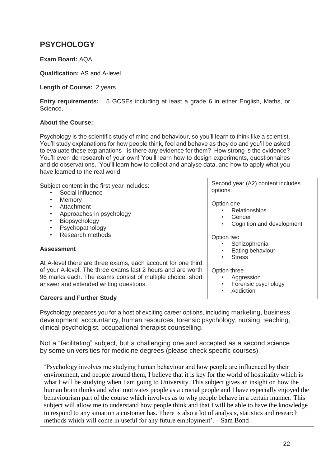# **PSYCHOLOGY**

## **Exam Board:** AQA

## **Qualification:** AS and A-level

### **Length of Course:** 2 years

**Entry requirements:** 5 GCSEs including at least a grade 6 in either English, Maths, or Science.

## **About the Course:**

Psychology is the scientific study of mind and behaviour, so you'll learn to think like a scientist. You'll study explanations for how people think, feel and behave as they do and you'll be asked to evaluate those explanations - is there any evidence for them? How strong is the evidence? You'll even do research of your own! You'll learn how to design experiments, questionnaires and do observations. You'll learn how to collect and analyse data, and how to apply what you have learned to the real world.

Subject content in the first year includes:

- Social influence
- Memory
- Attachment
- Approaches in psychology
- **Biopsychology**
- Psychopathology
- Research methods

#### **Assessment**

At A-level there are three exams, each account for one third of your A-level. The three exams last 2 hours and are worth 96 marks each. The exams consist of multiple choice, short answer and extended writing questions.

## **Careers and Further Study**

Psychology prepares you for a host of exciting career options, including marketing, business development, accountancy, human resources, forensic psychology, nursing, teaching, clinical psychologist, occupational therapist counselling.

Not a "facilitating" subject, but a challenging one and accepted as a second science by some universities for medicine degrees (please check specific courses).

'Psychology involves me studying human behaviour and how people are influenced by their environment, and people around them, I believe that it is key for the world of hospitality which is what I will be studying when I am going to University. This subject gives an insight on how the human brain thinks and what motivates people as a crucial people and I have especially enjoyed the behaviourism part of the course which involves as to why people behave in a certain manner. This subject will allow me to understand how people think and that I will be able to have the knowledge to respond to any situation a customer has. There is also a lot of analysis, statistics and research methods which will come in useful for any future employment'. – Sam Bond

Second year (A2) content includes options:

Option one

- Relationships
- **Gender**
- Cognition and development

Option two

- **Schizophrenia**
- Eating behaviour
- **Stress**

#### Option three

- **Aggression**
- Forensic psychology
- **Addiction**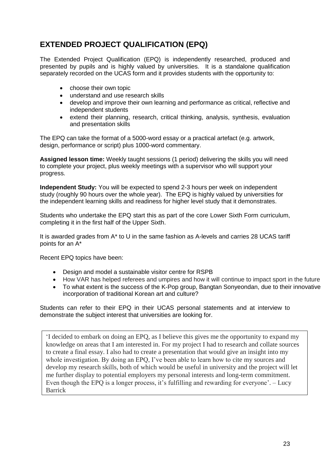# **EXTENDED PROJECT QUALIFICATION (EPQ)**

The Extended Project Qualification (EPQ) is independently researched, produced and presented by pupils and is highly valued by universities. It is a standalone qualification separately recorded on the UCAS form and it provides students with the opportunity to:

- choose their own topic
- understand and use research skills
- develop and improve their own learning and performance as critical, reflective and independent students
- extend their planning, research, critical thinking, analysis, synthesis, evaluation and presentation skills

The EPQ can take the format of a 5000-word essay or a practical artefact (e.g. artwork, design, performance or script) plus 1000-word commentary.

**Assigned lesson time:** Weekly taught sessions (1 period) delivering the skills you will need to complete your project, plus weekly meetings with a supervisor who will support your progress.

**Independent Study:** You will be expected to spend 2-3 hours per week on independent study (roughly 90 hours over the whole year). The EPQ is highly valued by universities for the independent learning skills and readiness for higher level study that it demonstrates.

Students who undertake the EPQ start this as part of the core Lower Sixth Form curriculum, completing it in the first half of the Upper Sixth.

It is awarded grades from A\* to U in the same fashion as A-levels and carries 28 UCAS tariff points for an A\*

Recent EPQ topics have been:

- Design and model a sustainable visitor centre for RSPB
- How VAR has helped referees and umpires and how it will continue to impact sport in the future
- To what extent is the success of the K-Pop group, Bangtan Sonyeondan, due to their innovative incorporation of traditional Korean art and culture?

Students can refer to their EPQ in their UCAS personal statements and at interview to demonstrate the subject interest that universities are looking for.

'I decided to embark on doing an EPQ, as I believe this gives me the opportunity to expand my knowledge on areas that I am interested in. For my project I had to research and collate sources to create a final essay. I also had to create a presentation that would give an insight into my whole investigation. By doing an EPQ, I've been able to learn how to cite my sources and develop my research skills, both of which would be useful in university and the project will let me further display to potential employers my personal interests and long-term commitment. Even though the EPQ is a longer process, it's fulfilling and rewarding for everyone'. – Lucy Barrick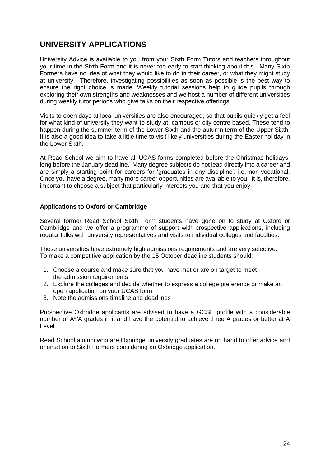# **UNIVERSITY APPLICATIONS**

University Advice is available to you from your Sixth Form Tutors and teachers throughout your time in the Sixth Form and it is never too early to start thinking about this. Many Sixth Formers have no idea of what they would like to do in their career, or what they might study at university. Therefore, investigating possibilities as soon as possible is the best way to ensure the right choice is made. Weekly tutorial sessions help to guide pupils through exploring their own strengths and weaknesses and we host a number of different universities during weekly tutor periods who give talks on their respective offerings.

Visits to open days at local universities are also encouraged, so that pupils quickly get a feel for what kind of university they want to study at, campus or city centre based. These tend to happen during the summer term of the Lower Sixth and the autumn term of the Upper Sixth. It is also a good idea to take a little time to visit likely universities during the Easter holiday in the Lower Sixth.

At Read School we aim to have all UCAS forms completed before the Christmas holidays, long before the January deadline. Many degree subjects do not lead directly into a career and are simply a starting point for careers for 'graduates in any discipline': i.e. non-vocational. Once you have a degree, many more career opportunities are available to you. It is, therefore, important to choose a subject that particularly interests you and that you enjoy.

#### **Applications to Oxford or Cambridge**

Several former Read School Sixth Form students have gone on to study at Oxford or Cambridge and we offer a programme of support with prospective applications, including regular talks with university representatives and visits to individual colleges and faculties.

These universities have extremely high admissions requirements and are very selective. To make a competitive application by the 15 October deadline students should:

- 1. [Choose a course](http://www.ox.ac.uk/admissions/undergraduate/courses) and make sure that you have met or are on target to meet the [admission requirements](http://www.ox.ac.uk/admissions/undergraduate/courses/admission-requirements)
- 2. Explore [the colleges](http://www.ox.ac.uk/admissions/undergraduate/colleges) and decide whether to express a college preference or make an open application on your UCAS form
- 3. Note the admissions timeline and deadlines

Prospective Oxbridge applicants are advised to have a GCSE profile with a considerable number of A\*/A grades in it and have the potential to achieve three A grades or better at A Level.

Read School alumni who are Oxbridge university graduates are on hand to offer advice and orientation to Sixth Formers considering an Oxbridge application.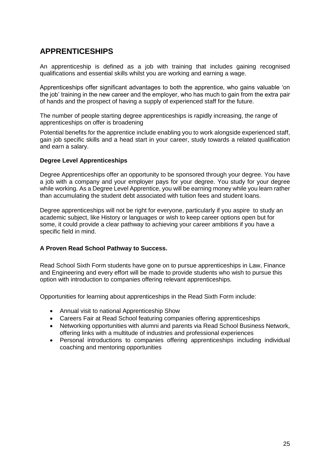# **APPRENTICESHIPS**

An apprenticeship is defined as a job with training that includes gaining recognised qualifications and essential skills whilst you are working and earning a wage.

Apprenticeships offer significant advantages to both the apprentice, who gains valuable 'on the job' training in the new career and the employer, who has much to gain from the extra pair of hands and the prospect of having a supply of experienced staff for the future.

The number of people starting degree apprenticeships is rapidly increasing, the range of apprenticeships on offer is broadening

Potential benefits for the apprentice include enabling you to work alongside experienced staff, gain job specific skills and a head start in your career, study towards a related qualification and earn a salary.

#### **Degree Level Apprenticeships**

Degree Apprenticeships offer an opportunity to be sponsored through your degree. You have a job with a company and your employer pays for your degree. You study for your degree while working. As a Degree Level Apprentice, you will be earning money while you learn rather than accumulating the student debt associated with tuition fees and student loans.

Degree apprenticeships will not be right for everyone, particularly if you aspire to study an academic subject, like History or languages or wish to keep career options open but for some, it could provide a clear pathway to achieving your career ambitions if you have a specific field in mind.

#### **A Proven Read School Pathway to Success.**

Read School Sixth Form students have gone on to pursue apprenticeships in Law, Finance and Engineering and every effort will be made to provide students who wish to pursue this option with introduction to companies offering relevant apprenticeships.

Opportunities for learning about apprenticeships in the Read Sixth Form include:

- Annual visit to national Apprenticeship Show
- Careers Fair at Read School featuring companies offering apprenticeships
- Networking opportunities with alumni and parents via Read School Business Network, offering links with a multitude of industries and professional experiences
- Personal introductions to companies offering apprenticeships including individual coaching and mentoring opportunities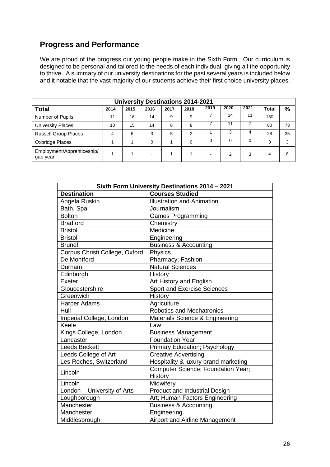## **Progress and Performance**

We are proud of the progress our young people make in the Sixth Form. Our curriculum is designed to be personal and tailored to the needs of each individual, giving all the opportunity to thrive. A summary of our university destinations for the past several years is included below and it notable that the vast majority of our students achieve their first choice university places.

| <b>University Destinations 2014-2021</b> |      |      |      |      |          |      |          |          |              |    |
|------------------------------------------|------|------|------|------|----------|------|----------|----------|--------------|----|
| <b>Total</b>                             | 2014 | 2015 | 2016 | 2017 | 2018     | 2019 | 2020     | 2021     | <b>Total</b> | %  |
| Number of Pupils                         | 11   | 16   | 14   | 9    | 9        |      | 14       | 11       | 150          |    |
| <b>University Places</b>                 | 10   | 15   | 14   | 8    | 8        |      | 11       |          | 80           | 73 |
| <b>Russell Group Places</b>              | 4    | 6    | 3    | 5    | っ        |      | 3        | 4        | 28           | 35 |
| Oxbridge Places                          |      |      | 0    |      | $\Omega$ | 0    | $\Omega$ | $\Omega$ | 3            | 3  |
| Employment/Apprenticeship/<br>gap year   |      |      |      |      |          |      | 2        | 3        | 4            | 8  |

| Sixth Form University Destinations 2014 - 2021 |                                       |  |
|------------------------------------------------|---------------------------------------|--|
| <b>Destination</b>                             | <b>Courses Studied</b>                |  |
| Angela Ruskin                                  | <b>Illustration and Animation</b>     |  |
| Bath, Spa                                      | Journalism                            |  |
| <b>Bolton</b>                                  | <b>Games Programming</b>              |  |
| <b>Bradford</b>                                | Chemistry                             |  |
| <b>Bristol</b>                                 | Medicine                              |  |
| <b>Bristol</b>                                 | Engineering                           |  |
| <b>Brunel</b>                                  | <b>Business &amp; Accounting</b>      |  |
| Corpus Christi College, Oxford                 | Physics                               |  |
| De Montford                                    | Pharmacy; Fashion                     |  |
| Durham                                         | <b>Natural Sciences</b>               |  |
| Edinburgh                                      | History                               |  |
| Exeter                                         | <b>Art History and English</b>        |  |
| Gloucestershire                                | <b>Sport and Exercise Sciences</b>    |  |
| Greenwich                                      | <b>History</b>                        |  |
| Harper Adams                                   | Agriculture                           |  |
| Hull                                           | <b>Robotics and Mechatronics</b>      |  |
| Imperial College, London                       | Materials Science & Engineering       |  |
| Keele                                          | Law                                   |  |
| Kings College, London                          | <b>Business Management</b>            |  |
| Lancaster                                      | <b>Foundation Year</b>                |  |
| <b>Leeds Beckett</b>                           | <b>Primary Education; Psychology</b>  |  |
| Leeds College of Art                           | <b>Creative Advertising</b>           |  |
| Les Roches, Switzerland                        | Hospitality & luxury brand marketing  |  |
| Lincoln                                        | Computer Science; Foundation Year;    |  |
|                                                | History                               |  |
| Lincoln                                        | Midwifery                             |  |
| London - University of Arts                    | Product and Industrial Design         |  |
| Loughborough                                   | Art; Human Factors Engineering        |  |
| Manchester                                     | <b>Business &amp; Accounting</b>      |  |
| Manchester                                     | Engineering                           |  |
| Middlesbrough                                  | <b>Airport and Airline Management</b> |  |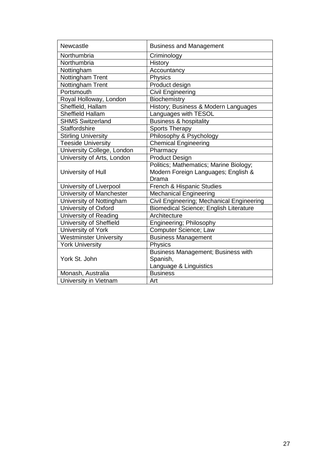| Newcastle                     | <b>Business and Management</b>                |
|-------------------------------|-----------------------------------------------|
| Northumbria                   | Criminology                                   |
| Northumbria                   | History                                       |
| Nottingham                    | Accountancy                                   |
| Nottingham Trent              | Physics                                       |
| Nottingham Trent              | Product design                                |
| Portsmouth                    | <b>Civil Engineering</b>                      |
| Royal Holloway, London        | Biochemistry                                  |
| Sheffield, Hallam             | History; Business & Modern Languages          |
| Sheffield Hallam              | Languages with TESOL                          |
| <b>SHMS Switzerland</b>       | <b>Business &amp; hospitality</b>             |
| <b>Staffordshire</b>          | <b>Sports Therapy</b>                         |
| <b>Stirling University</b>    | Philosophy & Psychology                       |
| <b>Teeside University</b>     | <b>Chemical Engineering</b>                   |
| University College, London    | Pharmacy                                      |
| University of Arts, London    | Product Design                                |
|                               | Politics; Mathematics; Marine Biology;        |
| University of Hull            | Modern Foreign Languages; English &           |
|                               | Drama                                         |
| University of Liverpool       | French & Hispanic Studies                     |
| University of Manchester      | <b>Mechanical Engineering</b>                 |
| University of Nottingham      | Civil Engineering; Mechanical Engineering     |
| University of Oxford          | <b>Biomedical Science; English Literature</b> |
| University of Reading         | Architecture                                  |
| University of Sheffield       | Engineering; Philosophy                       |
| University of York            | Computer Science; Law                         |
| <b>Westminster University</b> | <b>Business Management</b>                    |
| <b>York University</b>        | Physics                                       |
|                               | <b>Business Management; Business with</b>     |
| York St. John                 | Spanish,                                      |
|                               | Language & Linguistics                        |
| Monash, Australia             | <b>Business</b>                               |
| University in Vietnam         | Art                                           |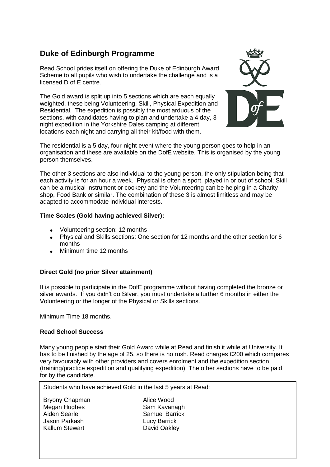# **Duke of Edinburgh Programme**

Read School prides itself on offering the Duke of Edinburgh Award Scheme to all pupils who wish to undertake the challenge and is a licensed D of E centre.

The Gold award is split up into 5 sections which are each equally weighted, these being Volunteering, Skill, Physical Expedition and Residential. The expedition is possibly the most arduous of the sections, with candidates having to plan and undertake a 4 day, 3 night expedition in the Yorkshire Dales camping at different locations each night and carrying all their kit/food with them.



The residential is a 5 day, four-night event where the young person goes to help in an organisation and these are available on the DofE website. This is organised by the young person themselves.

The other 3 sections are also individual to the young person, the only stipulation being that each activity is for an hour a week. Physical is often a sport, played in or out of school; Skill can be a musical instrument or cookery and the Volunteering can be helping in a Charity shop, Food Bank or similar. The combination of these 3 is almost limitless and may be adapted to accommodate individual interests.

#### **Time Scales (Gold having achieved Silver):**

- Volunteering section: 12 months
- Physical and Skills sections: One section for 12 months and the other section for 6 months
- Minimum time 12 months

## **Direct Gold (no prior Silver attainment)**

It is possible to participate in the DofE programme without having completed the bronze or silver awards. If you didn't do Silver, you must undertake a further 6 months in either the Volunteering or the longer of the Physical or Skills sections.

Minimum Time 18 months.

#### **Read School Success**

Many young people start their Gold Award while at Read and finish it while at University. It has to be finished by the age of 25, so there is no rush. Read charges £200 which compares very favourably with other providers and covers enrolment and the expedition section (training/practice expedition and qualifying expedition). The other sections have to be paid for by the candidate.

Students who have achieved Gold in the last 5 years at Read:

Bryony Chapman Alice Wood Megan Hughes Sam Kavanagh Aiden Searle **Samuel Barrick** Jason Parkash Lucy Barrick Kallum Stewart David Oakley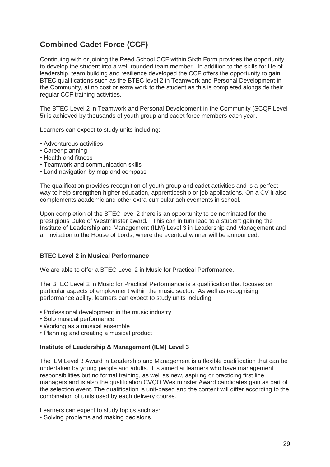# **Combined Cadet Force (CCF)**

Continuing with or joining the Read School CCF within Sixth Form provides the opportunity to develop the student into a well-rounded team member. In addition to the skills for life of leadership, team building and resilience developed the CCF offers the opportunity to gain BTEC qualifications such as the BTEC level 2 in Teamwork and Personal Development in the Community, at no cost or extra work to the student as this is completed alongside their regular CCF training activities.

The BTEC Level 2 in Teamwork and Personal Development in the Community (SCQF Level 5) is achieved by thousands of youth group and cadet force members each year.

Learners can expect to study units including:

- Adventurous activities
- Career planning
- Health and fitness
- Teamwork and communication skills
- Land navigation by map and compass

The qualification provides recognition of youth group and cadet activities and is a perfect way to help strengthen higher education, apprenticeship or job applications. On a CV it also complements academic and other extra-curricular achievements in school.

Upon completion of the BTEC level 2 there is an opportunity to be nominated for the prestigious Duke of Westminster award. This can in turn lead to a student gaining the Institute of Leadership and Management (ILM) Level 3 in Leadership and Management and an invitation to the House of Lords, where the eventual winner will be announced.

#### **BTEC Level 2 in Musical Performance**

We are able to offer a BTEC Level 2 in Music for Practical Performance.

The BTEC Level 2 in Music for Practical Performance is a qualification that focuses on particular aspects of employment within the music sector. As well as recognising performance ability, learners can expect to study units including:

- Professional development in the music industry
- Solo musical performance
- Working as a musical ensemble
- Planning and creating a musical product

#### **Institute of Leadership & Management (ILM) Level 3**

The ILM Level 3 Award in Leadership and Management is a flexible qualification that can be undertaken by young people and adults. It is aimed at learners who have management responsibilities but no formal training, as well as new, aspiring or practicing first line managers and is also the qualification CVQO Westminster Award candidates gain as part of the selection event. The qualification is unit-based and the content will differ according to the combination of units used by each delivery course.

Learners can expect to study topics such as:

• Solving problems and making decisions